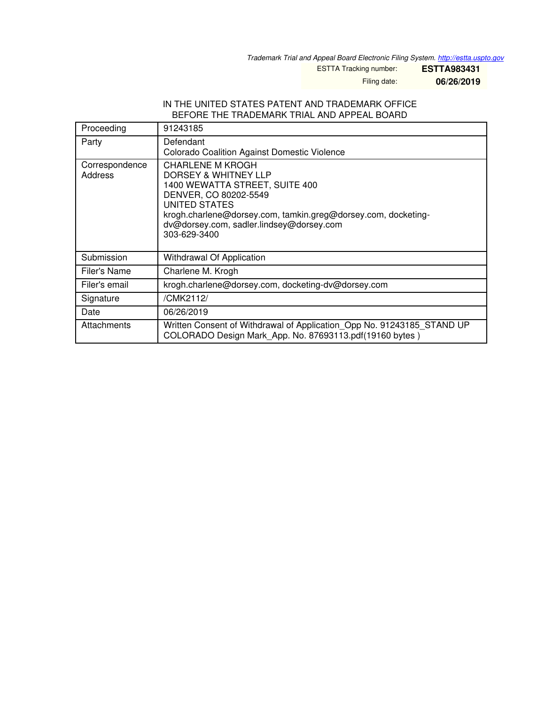*Trademark Trial and Appeal Board Electronic Filing System. <http://estta.uspto.gov>*

ESTTA Tracking number: **ESTTA983431**

Filing date: **06/26/2019**

#### IN THE UNITED STATES PATENT AND TRADEMARK OFFICE BEFORE THE TRADEMARK TRIAL AND APPEAL BOARD

| Proceeding                | 91243185                                                                                                                                                                                                                                                 |
|---------------------------|----------------------------------------------------------------------------------------------------------------------------------------------------------------------------------------------------------------------------------------------------------|
| Party                     | Defendant<br>Colorado Coalition Against Domestic Violence                                                                                                                                                                                                |
| Correspondence<br>Address | <b>CHARLENE M KROGH</b><br>DORSEY & WHITNEY LLP<br>1400 WEWATTA STREET, SUITE 400<br>DENVER, CO 80202-5549<br>UNITED STATES<br>krogh.charlene@dorsey.com, tamkin.greg@dorsey.com, docketing-<br>dv@dorsey.com, sadler.lindsey@dorsey.com<br>303-629-3400 |
| Submission                | Withdrawal Of Application                                                                                                                                                                                                                                |
| Filer's Name              | Charlene M. Krogh                                                                                                                                                                                                                                        |
| Filer's email             | krogh.charlene@dorsey.com, docketing-dv@dorsey.com                                                                                                                                                                                                       |
| Signature                 | /CMK2112/                                                                                                                                                                                                                                                |
| Date                      | 06/26/2019                                                                                                                                                                                                                                               |
| Attachments               | Written Consent of Withdrawal of Application Opp No. 91243185 STAND UP<br>COLORADO Design Mark App. No. 87693113.pdf(19160 bytes)                                                                                                                        |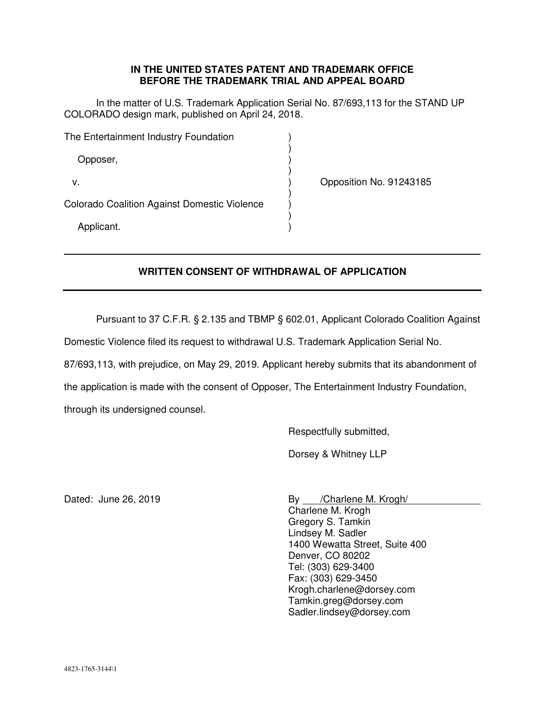### **IN THE UNITED STATES PATENT AND TRADEMARK OFFICE BEFORE THE TRADEMARK TRIAL AND APPEAL BOARD**

In the matter of U.S. Trademark Application Serial No. 87/693,113 for the STAND UP COLORADO design mark, published on April 24, 2018.

| The Entertainment Industry Foundation               |  |  |
|-----------------------------------------------------|--|--|
| Opposer,                                            |  |  |
| v.                                                  |  |  |
| <b>Colorado Coalition Against Domestic Violence</b> |  |  |
| Applicant.                                          |  |  |

Opposition No. 91243185

# **WRITTEN CONSENT OF WITHDRAWAL OF APPLICATION**

Pursuant to 37 C.F.R. § 2.135 and TBMP § 602.01, Applicant Colorado Coalition Against

Domestic Violence filed its request to withdrawal U.S. Trademark Application Serial No.

87/693,113, with prejudice, on May 29, 2019. Applicant hereby submits that its abandonment of

the application is made with the consent of Opposer, The Entertainment Industry Foundation,

through its undersigned counsel.

Respectfully submitted,

Dorsey & Whitney LLP

Dated: June 26, 2019 By /Charlene M. Krogh/

Charlene M. Krogh Gregory S. Tamkin Lindsey M. Sadler 1400 Wewatta Street, Suite 400 Denver, CO 80202 Tel: (303) 629-3400 Fax: (303) 629-3450 Krogh.charlene@dorsey.com Tamkin.greg@dorsey.com Sadler.lindsey@dorsey.com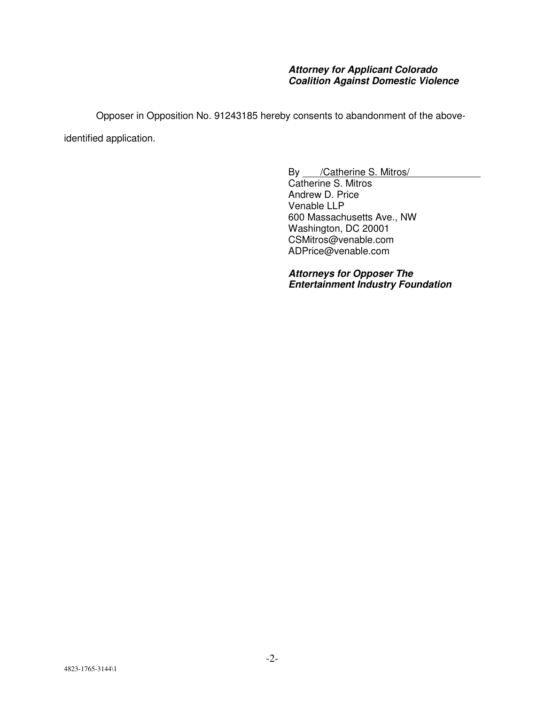### **Attorney for Applicant Colorado Coalition Against Domestic Violence**

Opposer in Opposition No. 91243185 hereby consents to abandonment of the aboveidentified application.

> By /Catherine S. Mitros/ Catherine S. Mitros Andrew D. Price Venable LLP 600 Massachusetts Ave., NW Washington, DC 20001 CSMitros@venable.com ADPrice@venable.com

**Attorneys for Opposer The Entertainment Industry Foundation**